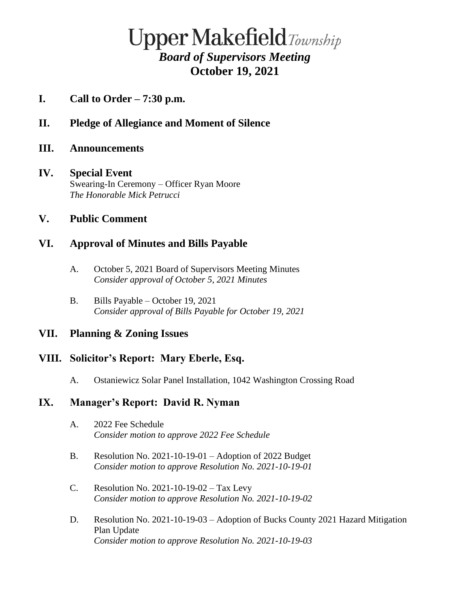# **Upper Makefield**Township *Board of Supervisors Meeting* **October 19, 2021**

- **I. Call to Order – 7:30 p.m.**
- **II. Pledge of Allegiance and Moment of Silence**
- **III. Announcements**

#### **IV. Special Event** Swearing-In Ceremony – Officer Ryan Moore *The Honorable Mick Petrucci*

## **V. Public Comment**

# **VI. Approval of Minutes and Bills Payable**

- A. October 5, 2021 Board of Supervisors Meeting Minutes *Consider approval of October 5, 2021 Minutes*
- B. Bills Payable October 19, 2021 *Consider approval of Bills Payable for October 19, 2021*

## **VII. Planning & Zoning Issues**

## **VIII. Solicitor's Report: Mary Eberle, Esq.**

A. Ostaniewicz Solar Panel Installation, 1042 Washington Crossing Road

## **IX. Manager's Report: David R. Nyman**

- A. 2022 Fee Schedule *Consider motion to approve 2022 Fee Schedule*
- B. Resolution No. 2021-10-19-01 Adoption of 2022 Budget *Consider motion to approve Resolution No. 2021-10-19-01*
- C. Resolution No. 2021-10-19-02 Tax Levy *Consider motion to approve Resolution No. 2021-10-19-02*
- D. Resolution No. 2021-10-19-03 Adoption of Bucks County 2021 Hazard Mitigation Plan Update *Consider motion to approve Resolution No. 2021-10-19-03*